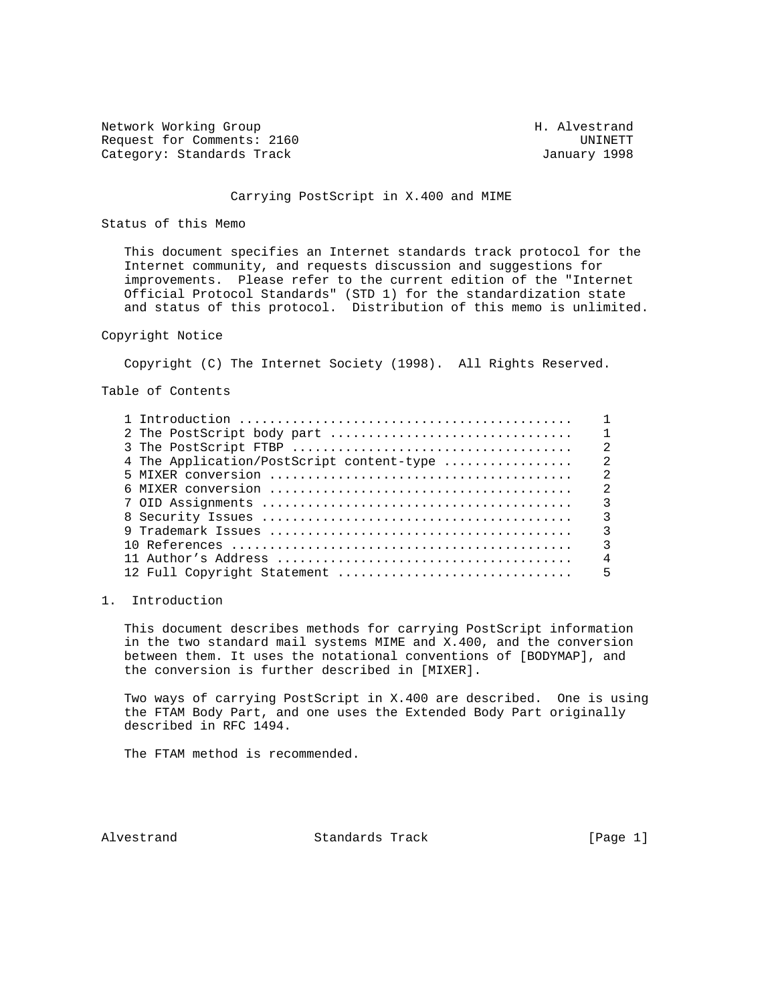Network Working Group Network More Group H. Alvestrand Request for Comments: 2160 UNINETT Category: Standards Track

### Carrying PostScript in X.400 and MIME

### Status of this Memo

 This document specifies an Internet standards track protocol for the Internet community, and requests discussion and suggestions for improvements. Please refer to the current edition of the "Internet Official Protocol Standards" (STD 1) for the standardization state and status of this protocol. Distribution of this memo is unlimited.

## Copyright Notice

Copyright (C) The Internet Society (1998). All Rights Reserved.

Table of Contents

|                                           | $\mathcal{L}$  |
|-------------------------------------------|----------------|
| 4 The Application/PostScript content-type | $\overline{2}$ |
|                                           | $\mathfrak{D}$ |
|                                           | $\mathfrak{D}$ |
|                                           | 3              |
|                                           | $\mathbf{3}$   |
|                                           | ζ              |
|                                           | 3              |
|                                           | $\overline{4}$ |
| 12 Full Copyright Statement               | 5              |

## 1. Introduction

 This document describes methods for carrying PostScript information in the two standard mail systems MIME and X.400, and the conversion between them. It uses the notational conventions of [BODYMAP], and the conversion is further described in [MIXER].

 Two ways of carrying PostScript in X.400 are described. One is using the FTAM Body Part, and one uses the Extended Body Part originally described in RFC 1494.

The FTAM method is recommended.

Alvestrand Standards Track [Page 1]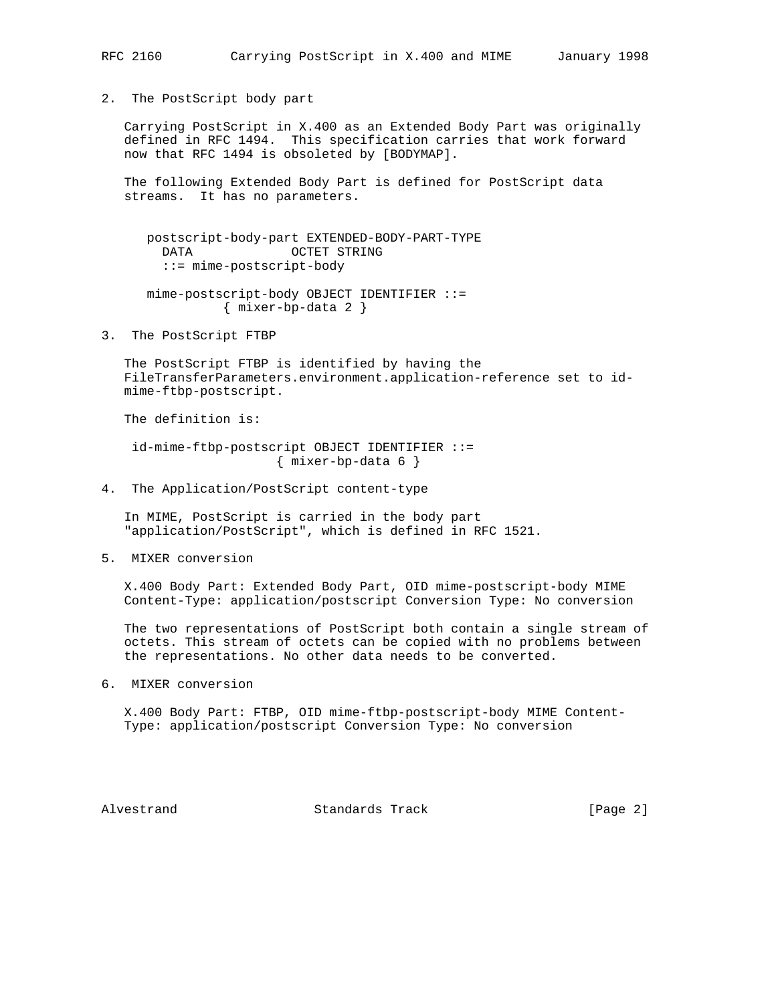2. The PostScript body part

 Carrying PostScript in X.400 as an Extended Body Part was originally defined in RFC 1494. This specification carries that work forward now that RFC 1494 is obsoleted by [BODYMAP].

 The following Extended Body Part is defined for PostScript data streams. It has no parameters.

 postscript-body-part EXTENDED-BODY-PART-TYPE DATA OCTET STRING ::= mime-postscript-body

```
 mime-postscript-body OBJECT IDENTIFIER ::=
{ mixer-bp-data 2 }
```
3. The PostScript FTBP

 The PostScript FTBP is identified by having the FileTransferParameters.environment.application-reference set to id mime-ftbp-postscript.

The definition is:

 id-mime-ftbp-postscript OBJECT IDENTIFIER ::= { mixer-bp-data 6 }

4. The Application/PostScript content-type

 In MIME, PostScript is carried in the body part "application/PostScript", which is defined in RFC 1521.

5. MIXER conversion

 X.400 Body Part: Extended Body Part, OID mime-postscript-body MIME Content-Type: application/postscript Conversion Type: No conversion

 The two representations of PostScript both contain a single stream of octets. This stream of octets can be copied with no problems between the representations. No other data needs to be converted.

6. MIXER conversion

 X.400 Body Part: FTBP, OID mime-ftbp-postscript-body MIME Content- Type: application/postscript Conversion Type: No conversion

Alvestrand Standards Track [Page 2]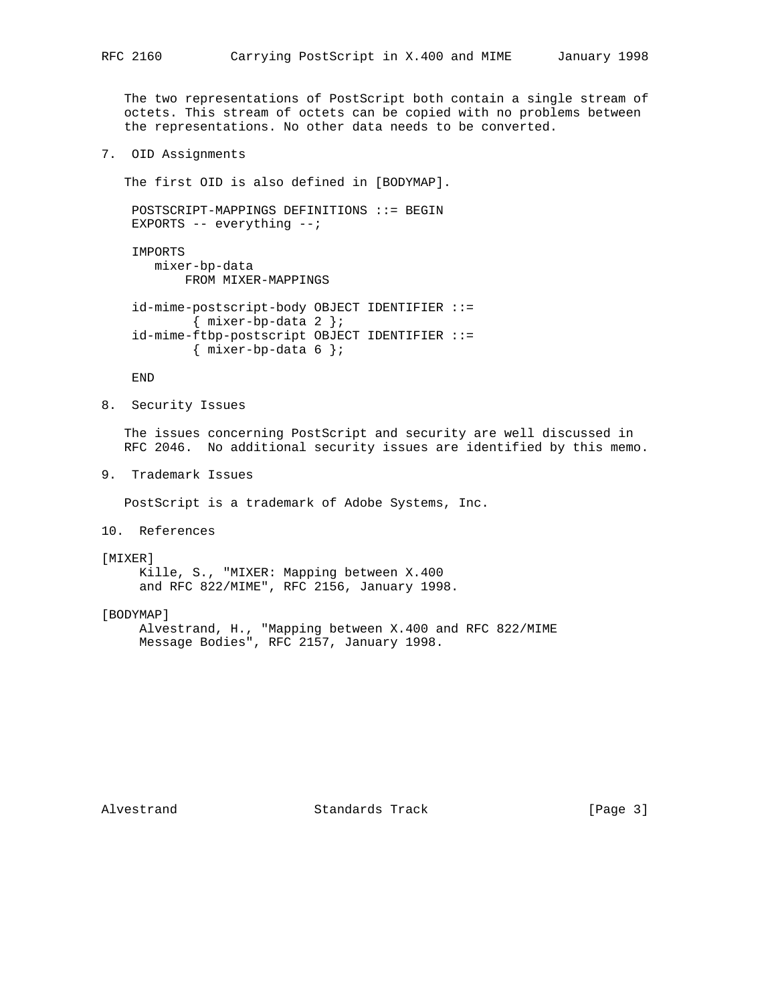The two representations of PostScript both contain a single stream of octets. This stream of octets can be copied with no problems between the representations. No other data needs to be converted.

7. OID Assignments

The first OID is also defined in [BODYMAP].

 POSTSCRIPT-MAPPINGS DEFINITIONS ::= BEGIN EXPORTS -- everything --;

 IMPORTS mixer-bp-data FROM MIXER-MAPPINGS

 id-mime-postscript-body OBJECT IDENTIFIER ::= { mixer-bp-data 2 }; id-mime-ftbp-postscript OBJECT IDENTIFIER ::= { mixer-bp-data 6 };

END

8. Security Issues

 The issues concerning PostScript and security are well discussed in RFC 2046. No additional security issues are identified by this memo.

9. Trademark Issues

PostScript is a trademark of Adobe Systems, Inc.

10. References

#### [MIXER]

 Kille, S., "MIXER: Mapping between X.400 and RFC 822/MIME", RFC 2156, January 1998.

[BODYMAP]

 Alvestrand, H., "Mapping between X.400 and RFC 822/MIME Message Bodies", RFC 2157, January 1998.

Alvestrand Standards Track [Page 3]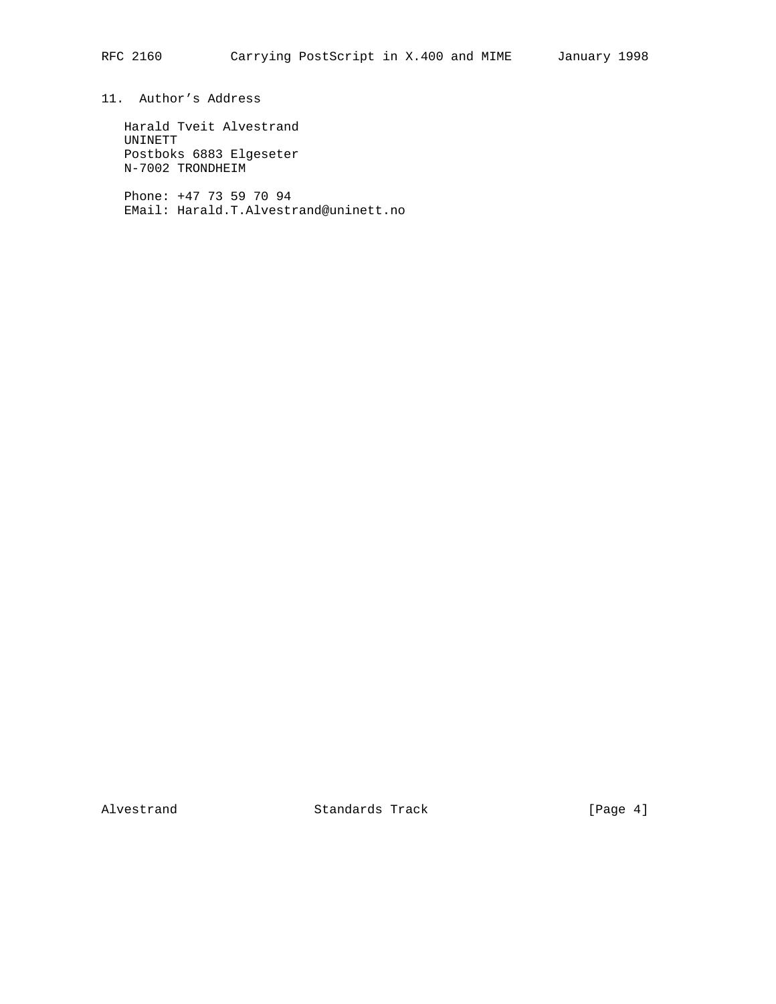11. Author's Address

 Harald Tveit Alvestrand UNINETT Postboks 6883 Elgeseter N-7002 TRONDHEIM

 Phone: +47 73 59 70 94 EMail: Harald.T.Alvestrand@uninett.no

Alvestrand Standards Track [Page 4]